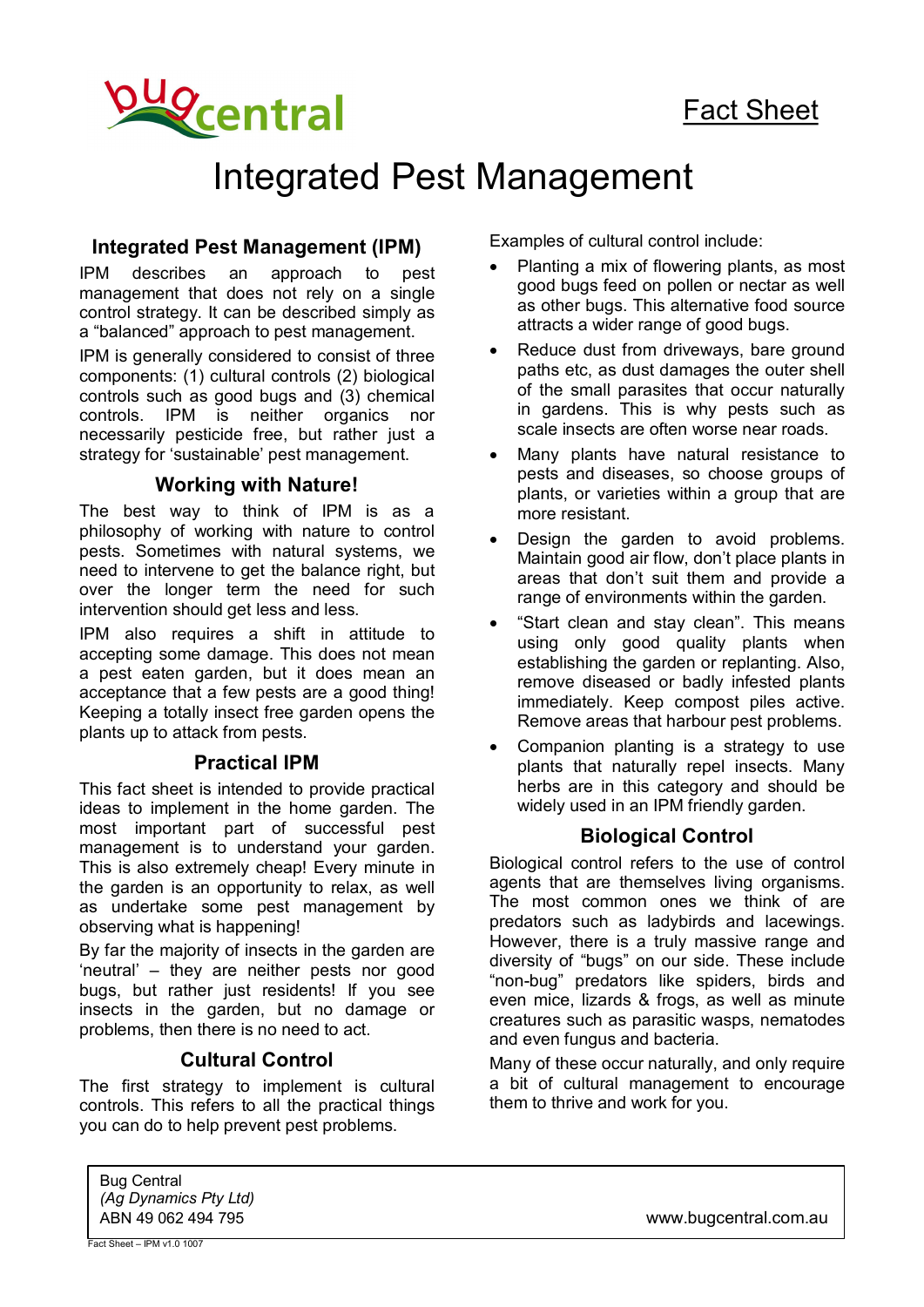

# Integrated Pest Management

#### **Integrated Pest Management (IPM)**

IPM describes an approach to pest management that does not rely on a single control strategy. It can be described simply as a "balanced" approach to pest management.

IPM is generally considered to consist of three components: (1) cultural controls (2) biological controls such as good bugs and (3) chemical controls. IPM is neither organics nor necessarily pesticide free, but rather just a strategy for 'sustainable' pest management.

#### **Working with Nature!**

The best way to think of IPM is as a philosophy of working with nature to control pests. Sometimes with natural systems, we need to intervene to get the balance right, but over the longer term the need for such intervention should get less and less.

IPM also requires a shift in attitude to accepting some damage. This does not mean a pest eaten garden, but it does mean an acceptance that a few pests are a good thing! Keeping a totally insect free garden opens the plants up to attack from pests.

#### **Practical IPM**

This fact sheet is intended to provide practical ideas to implement in the home garden. The most important part of successful pest management is to understand your garden. This is also extremely cheap! Every minute in the garden is an opportunity to relax, as well as undertake some pest management by observing what is happening!

By far the majority of insects in the garden are 'neutral' – they are neither pests nor good bugs, but rather just residents! If you see insects in the garden, but no damage or problems, then there is no need to act.

#### **Cultural Control**

The first strategy to implement is cultural controls. This refers to all the practical things you can do to help prevent pest problems.

Examples of cultural control include:

- Planting a mix of flowering plants, as most good bugs feed on pollen or nectar as well as other bugs. This alternative food source attracts a wider range of good bugs.
- Reduce dust from driveways, bare ground paths etc, as dust damages the outer shell of the small parasites that occur naturally in gardens. This is why pests such as scale insects are often worse near roads.
- Many plants have natural resistance to pests and diseases, so choose groups of plants, or varieties within a group that are more resistant.
- Design the garden to avoid problems. Maintain good air flow, don't place plants in areas that don't suit them and provide a range of environments within the garden.
- · "Start clean and stay clean". This means using only good quality plants when establishing the garden or replanting. Also, remove diseased or badly infested plants immediately. Keep compost piles active. Remove areas that harbour pest problems.
- Companion planting is a strategy to use plants that naturally repel insects. Many herbs are in this category and should be widely used in an IPM friendly garden.

### **Biological Control**

Biological control refers to the use of control agents that are themselves living organisms. The most common ones we think of are predators such as ladybirds and lacewings. However, there is a truly massive range and diversity of "bugs" on our side. These include "non-bug" predators like spiders, birds and even mice, lizards & frogs, as well as minute creatures such as parasitic wasps, nematodes and even fungus and bacteria.

Many of these occur naturally, and only require a bit of cultural management to encourage them to thrive and work for you.

Bug Central *(Ag Dynamics Pty Ltd)*